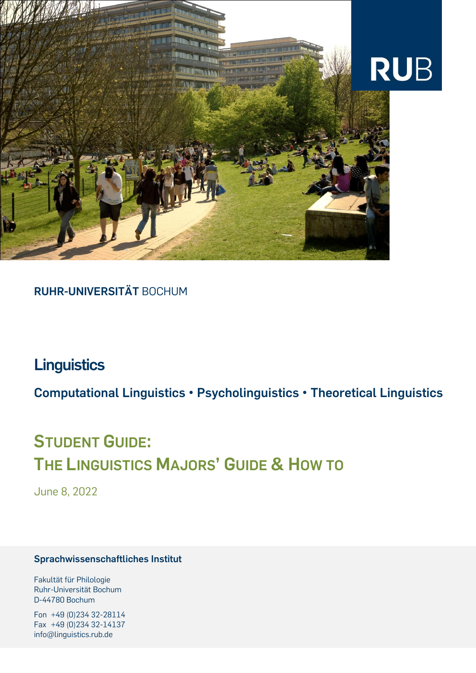

## **RUHR-UNIVERSITÄT** BOCHUM

## **Linguistics**

**Computational Linguistics • Psycholinguistics • Theoretical Linguistics**

# **STUDENT GUIDE: THE LINGUISTICS MAJORS' GUIDE & HOW TO**

June 8, 2022

#### **Sprachwissenschaftliches Institut**

Fakultät für Philologie Ruhr-Universität Bochum D-44780 Bochum

Fon +49 (0)234 32-28114 Fax +49 (0)234 32-14137 info@linguistics.rub.de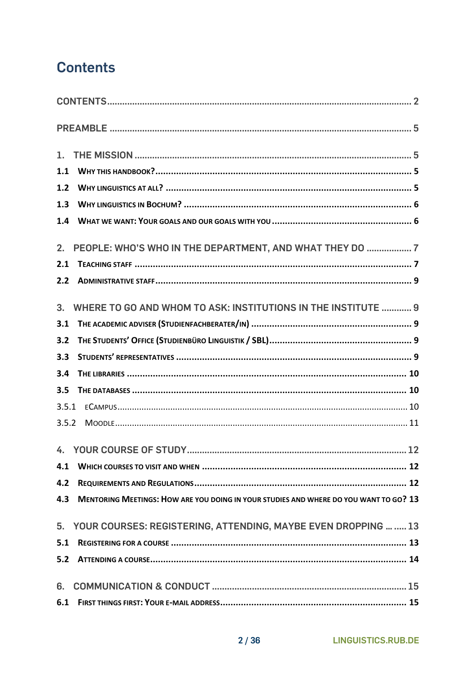## <span id="page-1-0"></span>**Contents**

| 1.1            |                                                                                       |
|----------------|---------------------------------------------------------------------------------------|
| 1.2            |                                                                                       |
| 1.3            |                                                                                       |
| 1.4            |                                                                                       |
| 2.             | PEOPLE: WHO'S WHO IN THE DEPARTMENT, AND WHAT THEY DO  7                              |
| 2.1            |                                                                                       |
| 2.2            |                                                                                       |
| 3 <sub>1</sub> | WHERE TO GO AND WHOM TO ASK: INSTITUTIONS IN THE INSTITUTE  9                         |
| 3.1            |                                                                                       |
| 3.2            |                                                                                       |
| 3.3            |                                                                                       |
| 3.4            |                                                                                       |
| 3.5            |                                                                                       |
| 3.5.1          |                                                                                       |
| 3.5.2          |                                                                                       |
|                |                                                                                       |
| 4.1            |                                                                                       |
| 4.2            |                                                                                       |
| 4.3            | MENTORING MEETINGS: HOW ARE YOU DOING IN YOUR STUDIES AND WHERE DO YOU WANT TO GO? 13 |
|                | 5. YOUR COURSES: REGISTERING, ATTENDING, MAYBE EVEN DROPPING   13                     |
| 5.1            |                                                                                       |
| 5.2            |                                                                                       |
| 6.             |                                                                                       |
| 6.1            |                                                                                       |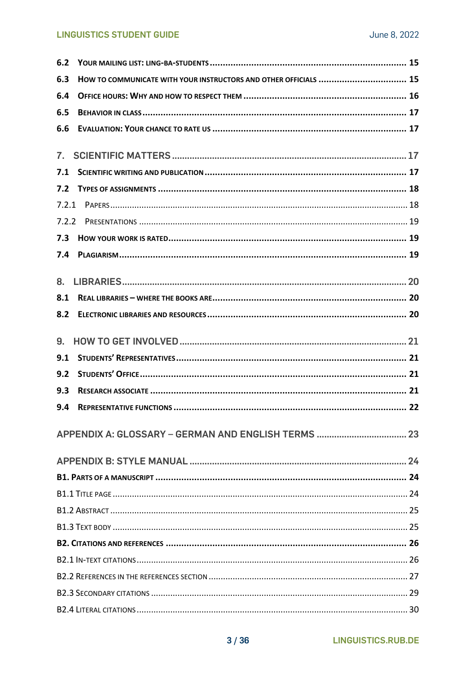#### **LINGUISTICS STUDENT GUIDE**

| 6.2            |                                                                  |  |
|----------------|------------------------------------------------------------------|--|
| 6.3            | HOW TO COMMUNICATE WITH YOUR INSTRUCTORS AND OTHER OFFICIALS  15 |  |
| 6.4            |                                                                  |  |
| 6.5            |                                                                  |  |
| 6.6            |                                                                  |  |
| $\mathbf{7}$ . |                                                                  |  |
| 7.1            |                                                                  |  |
| 7.2            |                                                                  |  |
| 7.2.1          |                                                                  |  |
|                |                                                                  |  |
| 7.3            |                                                                  |  |
| 7.4            |                                                                  |  |
|                |                                                                  |  |
| 8.             |                                                                  |  |
| 8.1            |                                                                  |  |
| 8.2            |                                                                  |  |
|                |                                                                  |  |
| 9.             |                                                                  |  |
| 9.1            |                                                                  |  |
| 9.2            |                                                                  |  |
| 9.3            |                                                                  |  |
| 9.4            |                                                                  |  |
|                |                                                                  |  |
|                |                                                                  |  |
|                |                                                                  |  |
|                |                                                                  |  |
|                |                                                                  |  |
|                |                                                                  |  |
|                |                                                                  |  |
|                |                                                                  |  |
|                |                                                                  |  |
|                |                                                                  |  |
|                |                                                                  |  |
|                |                                                                  |  |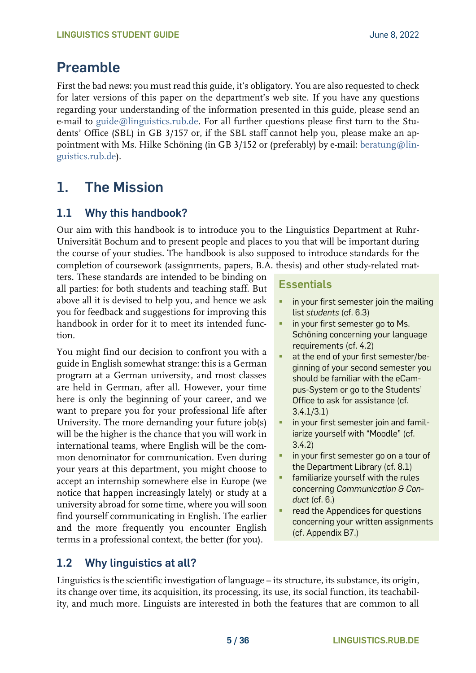## <span id="page-4-0"></span>**Preamble**

First the bad news: you must read this guide, it's obligatory. You are also requested to check for later versions of this paper on the department's web site. If you have any questions regarding your understanding of the information presented in this guide, please send an e-mail to [guide@linguistics.rub.de.](mailto:guide@linguistics.rub.de) For all further questions please first turn to the Students' Office (SBL) in GB 3/157 or, if the SBL staff cannot help you, please make an appointment with Ms. Hilke Schöning (in GB 3/152 or (preferably) by e-mail: [beratung@lin](mailto:beratunglinguistics.rub.de)[guistics.rub.de\)](mailto:beratunglinguistics.rub.de).

## <span id="page-4-1"></span>**1. The Mission**

## <span id="page-4-2"></span>**1.1 Why this handbook?**

Our aim with this handbook is to introduce you to the Linguistics Department at Ruhr-Universität Bochum and to present people and places to you that will be important during the course of your studies. The handbook is also supposed to introduce standards for the completion of coursework (assignments, papers, B.A. thesis) and other study-related mat-

ters. These standards are intended to be binding on all parties: for both students and teaching staff. But above all it is devised to help you, and hence we ask you for feedback and suggestions for improving this handbook in order for it to meet its intended function.

You might find our decision to confront you with a guide in English somewhat strange: this is a German program at a German university, and most classes are held in German, after all. However, your time here is only the beginning of your career, and we want to prepare you for your professional life after University. The more demanding your future job(s) will be the higher is the chance that you will work in international teams, where English will be the common denominator for communication. Even during your years at this department, you might choose to accept an internship somewhere else in Europe (we notice that happen increasingly lately) or study at a university abroad for some time, where you will soon find yourself communicating in English. The earlier and the more frequently you encounter English terms in a professional context, the better (for you).

# **Essentials**

- **•** in your first semester join the mailing list *students* (cf. 6.3)
- **·** in your first semester go to Ms. Schöning concerning your language requirements (cf. 4.2)
- at the end of your first semester/beginning of your second semester you should be familiar with the eCampus-System or go to the Students' Office to ask for assistance (cf. 3.4.1/3.1)
- **·** in your first semester join and familiarize yourself with "Moodle" (cf. 3.4.2)
- **·** in your first semester go on a tour of the Department Library (cf. 8.1)
- familiarize yourself with the rules concerning *Communication & Conduct* (cf. 6.)
- read the Appendices for questions concerning your written assignments (cf. Appendix B7.)

## <span id="page-4-3"></span>**1.2 Why linguistics at all?**

Linguistics is the scientific investigation of language – its structure, its substance, its origin, its change over time, its acquisition, its processing, its use, its social function, its teachability, and much more. Linguists are interested in both the features that are common to all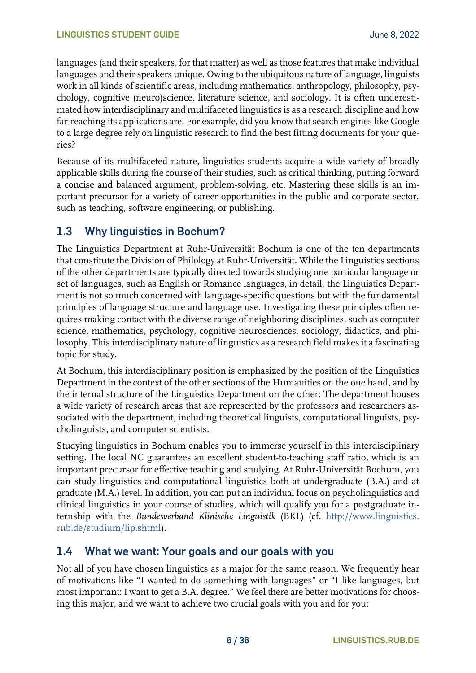languages (and their speakers, for that matter) as well as those features that make individual languages and their speakers unique. Owing to the ubiquitous nature of language, linguists work in all kinds of scientific areas, including mathematics, anthropology, philosophy, psychology, cognitive (neuro)science, literature science, and sociology. It is often underestimated how interdisciplinary and multifaceted linguistics is as a research discipline and how far-reaching its applications are. For example, did you know that search engines like Google to a large degree rely on linguistic research to find the best fitting documents for your queries?

Because of its multifaceted nature, linguistics students acquire a wide variety of broadly applicable skills during the course of their studies, such as critical thinking, putting forward a concise and balanced argument, problem-solving, etc. Mastering these skills is an important precursor for a variety of career opportunities in the public and corporate sector, such as teaching, software engineering, or publishing.

## <span id="page-5-0"></span>**1.3 Why linguistics in Bochum?**

The Linguistics Department at Ruhr-Universität Bochum is one of the ten departments that constitute the Division of Philology at Ruhr-Universität. While the Linguistics sections of the other departments are typically directed towards studying one particular language or set of languages, such as English or Romance languages, in detail, the Linguistics Department is not so much concerned with language-specific questions but with the fundamental principles of language structure and language use. Investigating these principles often requires making contact with the diverse range of neighboring disciplines, such as computer science, mathematics, psychology, cognitive neurosciences, sociology, didactics, and philosophy. This interdisciplinary nature of linguistics as a research field makes it a fascinating topic for study.

At Bochum, this interdisciplinary position is emphasized by the position of the Linguistics Department in the context of the other sections of the Humanities on the one hand, and by the internal structure of the Linguistics Department on the other: The department houses a wide variety of research areas that are represented by the professors and researchers associated with the department, including theoretical linguists, computational linguists, psycholinguists, and computer scientists.

Studying linguistics in Bochum enables you to immerse yourself in this interdisciplinary setting. The local NC guarantees an excellent student-to-teaching staff ratio, which is an important precursor for effective teaching and studying. At Ruhr-Universität Bochum, you can study linguistics and computational linguistics both at undergraduate (B.A.) and at graduate (M.A.) level. In addition, you can put an individual focus on psycholinguistics and clinical linguistics in your course of studies, which will qualify you for a postgraduate internship with the *Bundesverband Klinische Linguistik* (BKL) (cf. [http://www.linguistics.](http://www.linguistics.rub.de/studium/lip.shtml)  [rub.de/studium/lip.shtml\)](http://www.linguistics.rub.de/studium/lip.shtml).

## <span id="page-5-1"></span>**1.4 What we want: Your goals and our goals with you**

Not all of you have chosen linguistics as a major for the same reason. We frequently hear of motivations like "I wanted to do something with languages" or "I like languages, but most important: I want to get a B.A. degree." We feel there are better motivations for choosing this major, and we want to achieve two crucial goals with you and for you: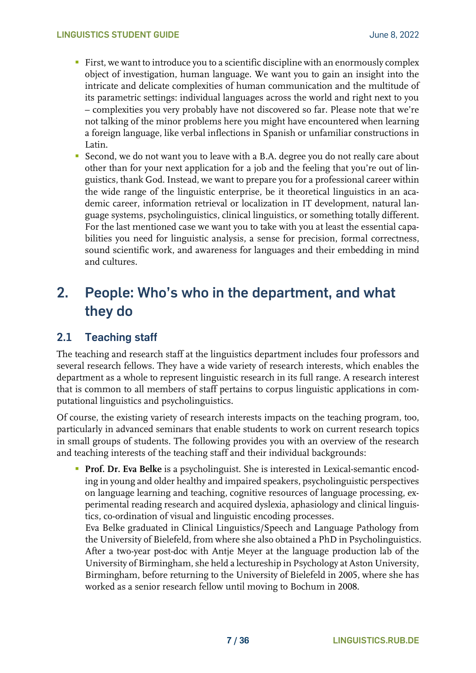- **First, we want to introduce you to a scientific discipline with an enormously complex** object of investigation, human language. We want you to gain an insight into the intricate and delicate complexities of human communication and the multitude of its parametric settings: individual languages across the world and right next to you – complexities you very probably have not discovered so far. Please note that we're not talking of the minor problems here you might have encountered when learning a foreign language, like verbal inflections in Spanish or unfamiliar constructions in Latin.
- Second, we do not want you to leave with a B.A. degree you do not really care about other than for your next application for a job and the feeling that you're out of linguistics, thank God. Instead, we want to prepare you for a professional career within the wide range of the linguistic enterprise, be it theoretical linguistics in an academic career, information retrieval or localization in IT development, natural language systems, psycholinguistics, clinical linguistics, or something totally different. For the last mentioned case we want you to take with you at least the essential capabilities you need for linguistic analysis, a sense for precision, formal correctness, sound scientific work, and awareness for languages and their embedding in mind and cultures.

## <span id="page-6-0"></span>**2. People: Who's who in the department, and what they do**

## <span id="page-6-1"></span>**2.1 Teaching staff**

The teaching and research staff at the linguistics department includes four professors and several research fellows. They have a wide variety of research interests, which enables the department as a whole to represent linguistic research in its full range. A research interest that is common to all members of staff pertains to corpus linguistic applications in computational linguistics and psycholinguistics.

Of course, the existing variety of research interests impacts on the teaching program, too, particularly in advanced seminars that enable students to work on current research topics in small groups of students. The following provides you with an overview of the research and teaching interests of the teaching staff and their individual backgrounds:

**• Prof. Dr. Eva Belke** is a psycholinguist. She is interested in Lexical-semantic encoding in young and older healthy and impaired speakers, psycholinguistic perspectives on language learning and teaching, cognitive resources of language processing, experimental reading research and acquired dyslexia, aphasiology and clinical linguistics, co-ordination of visual and linguistic encoding processes.

Eva Belke graduated in Clinical Linguistics/Speech and Language Pathology from the University of Bielefeld, from where she also obtained a PhD in Psycholinguistics. After a two-year post-doc with Antje Meyer at the language production lab of the University of Birmingham, she held a lectureship in Psychology at Aston University, Birmingham, before returning to the University of Bielefeld in 2005, where she has worked as a senior research fellow until moving to Bochum in 2008.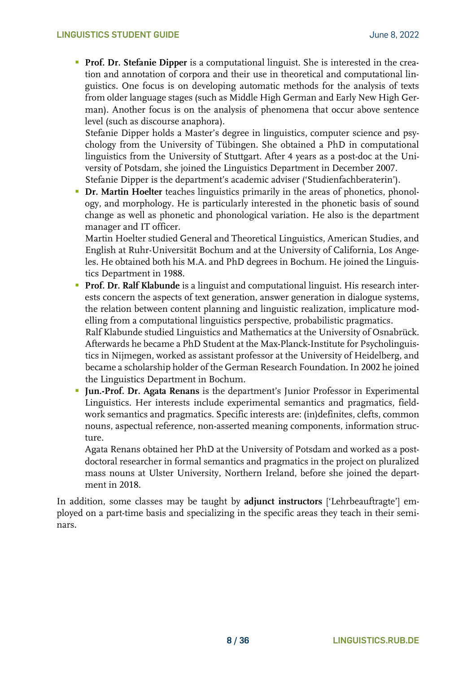**• Prof. Dr. Stefanie Dipper** is a computational linguist. She is interested in the creation and annotation of corpora and their use in theoretical and computational linguistics. One focus is on developing automatic methods for the analysis of texts from older language stages (such as Middle High German and Early New High German). Another focus is on the analysis of phenomena that occur above sentence level (such as discourse anaphora).

Stefanie Dipper holds a Master's degree in linguistics, computer science and psychology from the University of Tübingen. She obtained a PhD in computational linguistics from the University of Stuttgart. After 4 years as a post-doc at the University of Potsdam, she joined the Linguistics Department in December 2007. Stefanie Dipper is the department's academic adviser ('Studienfachberaterin').

**• Dr. Martin Hoelter** teaches linguistics primarily in the areas of phonetics, phonology, and morphology. He is particularly interested in the phonetic basis of sound change as well as phonetic and phonological variation. He also is the department manager and IT officer.

Martin Hoelter studied General and Theoretical Linguistics, American Studies, and English at Ruhr-Universität Bochum and at the University of California, Los Angeles. He obtained both his M.A. and PhD degrees in Bochum. He joined the Linguistics Department in 1988.

**Prof. Dr. Ralf Klabunde** is a linguist and computational linguist. His research interests concern the aspects of text generation, answer generation in dialogue systems, the relation between content planning and linguistic realization, implicature modelling from a computational linguistics perspective, probabilistic pragmatics.

Ralf Klabunde studied Linguistics and Mathematics at the University of Osnabrück. Afterwards he became a PhD Student at the Max-Planck-Institute for Psycholinguistics in Nijmegen, worked as assistant professor at the University of Heidelberg, and became a scholarship holder of the German Research Foundation. In 2002 he joined the Linguistics Department in Bochum.

**Jun.-Prof. Dr. Agata Renans** is the department's Junior Professor in Experimental Linguistics. Her interests include experimental semantics and pragmatics, fieldwork semantics and pragmatics. Specific interests are: (in)definites, clefts, common nouns, aspectual reference, non-asserted meaning components, information structure.

Agata Renans obtained her PhD at the University of Potsdam and worked as a postdoctoral researcher in formal semantics and pragmatics in the project on pluralized mass nouns at Ulster University, Northern Ireland, before she joined the department in 2018.

In addition, some classes may be taught by **adjunct instructors** ['Lehrbeauftragte'] employed on a part-time basis and specializing in the specific areas they teach in their seminars.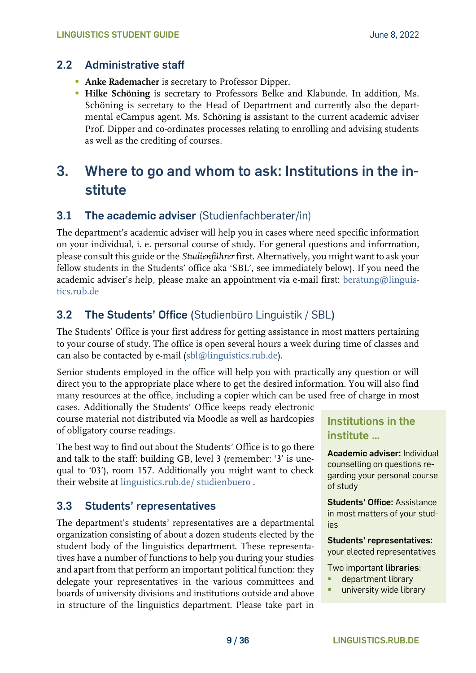### <span id="page-8-0"></span>**2.2 Administrative staff**

- **Anke Rademacher** is secretary to Professor Dipper.
- **Hilke Schöning** is secretary to Professors Belke and Klabunde. In addition, Ms. Schöning is secretary to the Head of Department and currently also the departmental eCampus agent. Ms. Schöning is assistant to the current academic adviser Prof. Dipper and co-ordinates processes relating to enrolling and advising students as well as the crediting of courses.

## <span id="page-8-1"></span>**3. Where to go and whom to ask: Institutions in the institute**

### <span id="page-8-2"></span>**3.1 The academic adviser** (Studienfachberater/in)

The department's academic adviser will help you in cases where need specific information on your individual, i. e. personal course of study. For general questions and information, please consult this guide or the *Studienführer* first. Alternatively, you might want to ask your fellow students in the Students' office aka 'SBL', see immediately below). If you need the academic adviser's help, please make an appointment via e-mail first: [beratung@linguis](mailto:beratung@linguistics.rub.de)[tics.rub.de](mailto:beratung@linguistics.rub.de)

## <span id="page-8-3"></span>**3.2 The Students' Office (**Studienbüro Linguistik / SBL**)**

The Students' Office is your first address for getting assistance in most matters pertaining to your course of study. The office is open several hours a week during time of classes and can also be contacted by e-mail [\(sbl@linguistics.rub.de\)](mailto:sbl@linguistics.rub.de).

Senior students employed in the office will help you with practically any question or will direct you to the appropriate place where to get the desired information. You will also find many resources at the office, including a copier which can be used free of charge in most

cases. Additionally the Students' Office keeps ready electronic course material not distributed via Moodle as well as hardcopies of obligatory course readings.

The best way to find out about the Students' Office is to go there and talk to the staff: building GB, level 3 (remember: '3' is unequal to '03'), room 157. Additionally you might want to check their website at [linguistics.rub.de/ studienbuero](https://www.linguistics.rub.de/studienbuero) .

## <span id="page-8-4"></span>**3.3 Students' representatives**

The department's students' representatives are a departmental organization consisting of about a dozen students elected by the student body of the linguistics department. These representatives have a number of functions to help you during your studies and apart from that perform an important political function: they delegate your representatives in the various committees and boards of university divisions and institutions outside and above in structure of the linguistics department. Please take part in

## **Institutions in the institute …**

**Academic adviser:** Individual counselling on questions regarding your personal course of study

**Students' Office:** Assistance in most matters of your studies

**Students' representatives:**

your elected representatives

Two important **libraries**:

- department library
- university wide library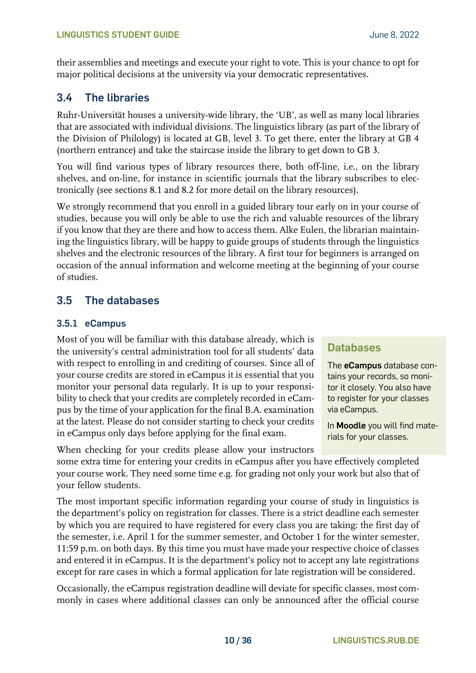their assemblies and meetings and execute your right to vote. This is your chance to opt for major political decisions at the university via your democratic representatives.

## <span id="page-9-0"></span>**3.4 The libraries**

Ruhr-Universität houses a university-wide library, the 'UB', as well as many local libraries that are associated with individual divisions. The linguistics library (as part of the library of the Division of Philology) is located at GB, level 3. To get there, enter the library at GB 4 (northern entrance) and take the staircase inside the library to get down to GB 3.

You will find various types of library resources there, both off-line, i.e., on the library shelves, and on-line, for instance in scientific journals that the library subscribes to electronically (see sections 8.1 and 8.2 for more detail on the library resources).

We strongly recommend that you enroll in a guided library tour early on in your course of studies, because you will only be able to use the rich and valuable resources of the library if you know that they are there and how to access them. Alke Eulen, the librarian maintaining the linguistics library, will be happy to guide groups of students through the linguistics shelves and the electronic resources of the library. A first tour for beginners is arranged on occasion of the annual information and welcome meeting at the beginning of your course of studies.

## <span id="page-9-1"></span>**3.5 The databases**

#### <span id="page-9-2"></span>**3.5.1 eCampus**

Most of you will be familiar with this database already, which is the university's central administration tool for all students' data with respect to enrolling in and crediting of courses. Since all of your course credits are stored in eCampus it is essential that you monitor your personal data regularly. It is up to your responsibility to check that your credits are completely recorded in eCampus by the time of your application for the final B.A. examination at the latest. Please do not consider starting to check your credits in eCampus only days before applying for the final exam.

When checking for your credits please allow your instructors

## **Databases**

The **eCampus** database contains your records, so monitor it closely. You also have to register for your classes via eCampus.

In **Moodle** you will find materials for your classes.

some extra time for entering your credits in eCampus after you have effectively completed your course work. They need some time e.g. for grading not only your work but also that of your fellow students.

The most important specific information regarding your course of study in linguistics is the department's policy on registration for classes. There is a strict deadline each semester by which you are required to have registered for every class you are taking: the first day of the semester, i.e. April 1 for the summer semester, and October 1 for the winter semester, 11:59 p.m. on both days. By this time you must have made your respective choice of classes and entered it in eCampus. It is the department's policy not to accept any late registrations except for rare cases in which a formal application for late registration will be considered.

Occasionally, the eCampus registration deadline will deviate for specific classes, most commonly in cases where additional classes can only be announced after the official course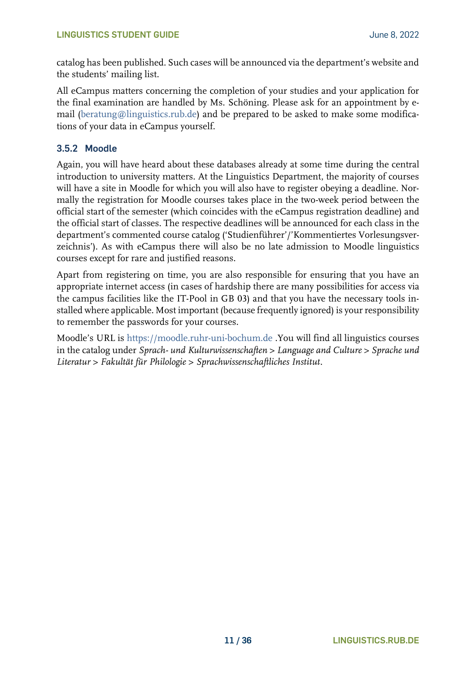catalog has been published. Such cases will be announced via the department's website and the students' mailing list.

All eCampus matters concerning the completion of your studies and your application for the final examination are handled by Ms. Schöning. Please ask for an appointment by email [\(beratung@linguistics.rub.de\)](mailto:beratung@linguistics.rub.de) and be prepared to be asked to make some modifications of your data in eCampus yourself.

#### <span id="page-10-0"></span>**3.5.2 Moodle**

Again, you will have heard about these databases already at some time during the central introduction to university matters. At the Linguistics Department, the majority of courses will have a site in Moodle for which you will also have to register obeying a deadline. Normally the registration for Moodle courses takes place in the two-week period between the official start of the semester (which coincides with the eCampus registration deadline) and the official start of classes. The respective deadlines will be announced for each class in the department's commented course catalog ('Studienführer'/'Kommentiertes Vorlesungsverzeichnis'). As with eCampus there will also be no late admission to Moodle linguistics courses except for rare and justified reasons.

Apart from registering on time, you are also responsible for ensuring that you have an appropriate internet access (in cases of hardship there are many possibilities for access via the campus facilities like the IT-Pool in GB 03) and that you have the necessary tools installed where applicable. Most important (because frequently ignored) is your responsibility to remember the passwords for your courses.

Moodle's URL is [https://moodle.ruhr-uni-bochum.de](https://moodle.ruhr-uni-bochum.de/) .You will find all linguistics courses in the catalog under *Sprach- und Kulturwissenschaften > Language and Culture > Sprache und Literatur > Fakultät für Philologie > Sprachwissenschaftliches Institut*.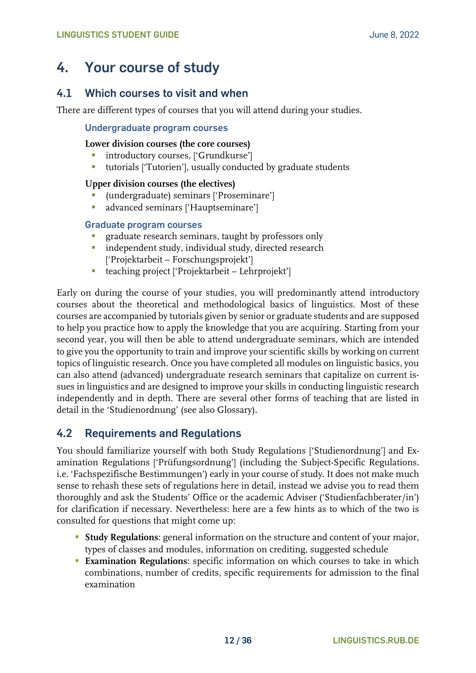## <span id="page-11-0"></span>**4. Your course of study**

### <span id="page-11-1"></span>**4.1 Which courses to visit and when**

There are different types of courses that you will attend during your studies.

#### **Undergraduate program courses**

#### **Lower division courses (the core courses)**

- **·** introductory courses, ['Grundkurse']
- tutorials ['Tutorien'], usually conducted by graduate students

#### **Upper division courses (the electives)**

- (undergraduate) seminars ['Proseminare']
- **·** advanced seminars ['Hauptseminare']

#### **Graduate program courses**

- graduate research seminars, taught by professors only
- **·** independent study, individual study, directed research ['Projektarbeit – Forschungsprojekt']
- teaching project ['Projektarbeit Lehrprojekt']

Early on during the course of your studies, you will predominantly attend introductory courses about the theoretical and methodological basics of linguistics. Most of these courses are accompanied by tutorials given by senior or graduate students and are supposed to help you practice how to apply the knowledge that you are acquiring. Starting from your second year, you will then be able to attend undergraduate seminars, which are intended to give you the opportunity to train and improve your scientific skills by working on current topics of linguistic research. Once you have completed all modules on linguistic basics, you can also attend (advanced) undergraduate research seminars that capitalize on current issues in linguistics and are designed to improve your skills in conducting linguistic research independently and in depth. There are several other forms of teaching that are listed in detail in the 'Studienordnung' (see also Glossary).

#### <span id="page-11-2"></span>**4.2 Requirements and Regulations**

You should familiarize yourself with both Study Regulations ['Studienordnung'] and Examination Regulations ['Prüfungsordnung'] (including the Subject-Specific Regulations. i.e. 'Fachspezifische Bestimmungen') early in your course of study. It does not make much sense to rehash these sets of regulations here in detail, instead we advise you to read them thoroughly and ask the Students' Office or the academic Adviser ('Studienfachberater/in') for clarification if necessary. Nevertheless: here are a few hints as to which of the two is consulted for questions that might come up:

- **Example 3 Study Regulations:** general information on the structure and content of your major, types of classes and modules, information on crediting, suggested schedule
- **Examination Regulations:** specific information on which courses to take in which combinations, number of credits, specific requirements for admission to the final examination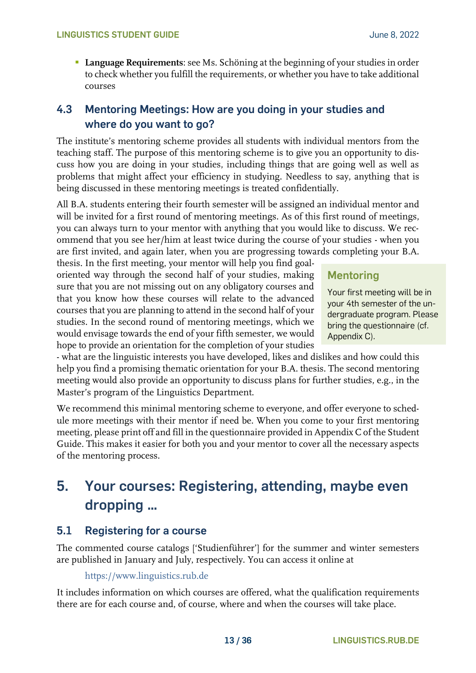**• Language Requirements:** see Ms. Schöning at the beginning of your studies in order to check whether you fulfill the requirements, or whether you have to take additional courses

## <span id="page-12-0"></span>**4.3 Mentoring Meetings: How are you doing in your studies and where do you want to go?**

The institute's mentoring scheme provides all students with individual mentors from the teaching staff. The purpose of this mentoring scheme is to give you an opportunity to discuss how you are doing in your studies, including things that are going well as well as problems that might affect your efficiency in studying. Needless to say, anything that is being discussed in these mentoring meetings is treated confidentially.

All B.A. students entering their fourth semester will be assigned an individual mentor and will be invited for a first round of mentoring meetings. As of this first round of meetings, you can always turn to your mentor with anything that you would like to discuss. We recommend that you see her/him at least twice during the course of your studies - when you are first invited, and again later, when you are progressing towards completing your B.A.

thesis. In the first meeting, your mentor will help you find goaloriented way through the second half of your studies, making sure that you are not missing out on any obligatory courses and that you know how these courses will relate to the advanced courses that you are planning to attend in the second half of your studies. In the second round of mentoring meetings, which we would envisage towards the end of your fifth semester, we would hope to provide an orientation for the completion of your studies

## **Mentoring**

Your first meeting will be in your 4th semester of the undergraduate program. Please bring the questionnaire (cf. Appendix C).

- what are the linguistic interests you have developed, likes and dislikes and how could this help you find a promising thematic orientation for your B.A. thesis. The second mentoring meeting would also provide an opportunity to discuss plans for further studies, e.g., in the Master's program of the Linguistics Department.

We recommend this minimal mentoring scheme to everyone, and offer everyone to schedule more meetings with their mentor if need be. When you come to your first mentoring meeting, please print off and fill in the questionnaire provided in Appendix C of the Student Guide. This makes it easier for both you and your mentor to cover all the necessary aspects of the mentoring process.

## <span id="page-12-1"></span>**5. Your courses: Registering, attending, maybe even dropping …**

## <span id="page-12-2"></span>**5.1 Registering for a course**

The commented course catalogs ['Studienführer'] for the summer and winter semesters are published in January and July, respectively. You can access it online at

[https://www.linguistics.rub.de](https://www.linguistics.rub.de/)

It includes information on which courses are offered, what the qualification requirements there are for each course and, of course, where and when the courses will take place.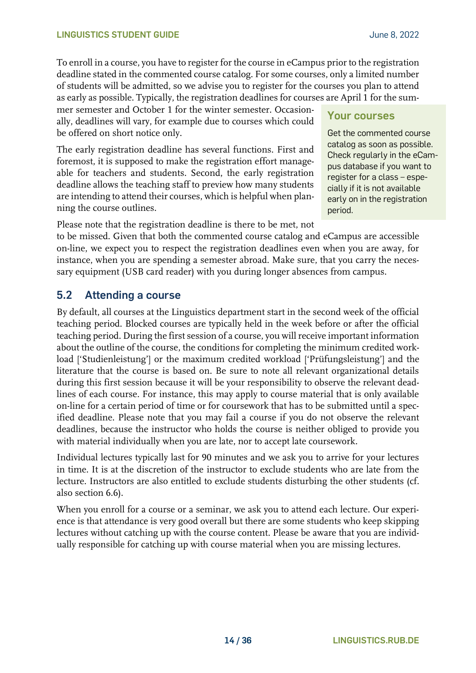To enroll in a course, you have to register for the course in eCampus prior to the registration deadline stated in the commented course catalog. For some courses, only a limited number of students will be admitted, so we advise you to register for the courses you plan to attend as early as possible. Typically, the registration deadlines for courses are April 1 for the sum-

mer semester and October 1 for the winter semester. Occasionally, deadlines will vary, for example due to courses which could be offered on short notice only.

The early registration deadline has several functions. First and foremost, it is supposed to make the registration effort manageable for teachers and students. Second, the early registration deadline allows the teaching staff to preview how many students are intending to attend their courses, which is helpful when planning the course outlines.

## **Your courses**

Get the commented course catalog as soon as possible. Check regularly in the eCampus database if you want to register for a class – especially if it is not available early on in the registration period.

Please note that the registration deadline is there to be met, not

to be missed. Given that both the commented course catalog and eCampus are accessible on-line, we expect you to respect the registration deadlines even when you are away, for instance, when you are spending a semester abroad. Make sure, that you carry the necessary equipment (USB card reader) with you during longer absences from campus.

## <span id="page-13-0"></span>**5.2 Attending a course**

By default, all courses at the Linguistics department start in the second week of the official teaching period. Blocked courses are typically held in the week before or after the official teaching period. During the first session of a course, you will receive important information about the outline of the course, the conditions for completing the minimum credited workload ['Studienleistung'] or the maximum credited workload ['Prüfungsleistung'] and the literature that the course is based on. Be sure to note all relevant organizational details during this first session because it will be your responsibility to observe the relevant deadlines of each course. For instance, this may apply to course material that is only available on-line for a certain period of time or for coursework that has to be submitted until a specified deadline. Please note that you may fail a course if you do not observe the relevant deadlines, because the instructor who holds the course is neither obliged to provide you with material individually when you are late, nor to accept late coursework.

Individual lectures typically last for 90 minutes and we ask you to arrive for your lectures in time. It is at the discretion of the instructor to exclude students who are late from the lecture. Instructors are also entitled to exclude students disturbing the other students (cf. also section 6.6).

When you enroll for a course or a seminar, we ask you to attend each lecture. Our experience is that attendance is very good overall but there are some students who keep skipping lectures without catching up with the course content. Please be aware that you are individually responsible for catching up with course material when you are missing lectures.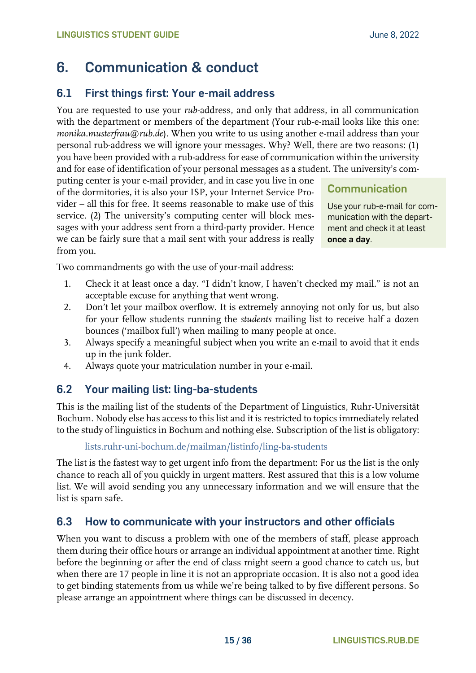## <span id="page-14-0"></span>**6. Communication & conduct**

## <span id="page-14-1"></span>**6.1 First things first: Your e-mail address**

You are requested to use your *rub*-address, and only that address, in all communication with the department or members of the department (Your rub-e-mail looks like this one: *monika.musterfrau@rub.de*). When you write to us using another e-mail address than your personal rub-address we will ignore your messages. Why? Well, there are two reasons: (1) you have been provided with a rub-address for ease of communication within the university and for ease of identification of your personal messages as a student. The university's com-

puting center is your e-mail provider, and in case you live in one of the dormitories, it is also your ISP, your Internet Service Provider – all this for free. It seems reasonable to make use of this service. (2) The university's computing center will block messages with your address sent from a third-party provider. Hence we can be fairly sure that a mail sent with your address is really from you.

**Communication**

Use your rub-e-mail for communication with the department and check it at least **once a day**.

Two commandments go with the use of your-mail address:

- 1. Check it at least once a day. "I didn't know, I haven't checked my mail." is not an acceptable excuse for anything that went wrong.
- 2. Don't let your mailbox overflow. It is extremely annoying not only for us, but also for your fellow students running the *students* mailing list to receive half a dozen bounces ('mailbox full') when mailing to many people at once.
- 3. Always specify a meaningful subject when you write an e-mail to avoid that it ends up in the junk folder.
- 4. Always quote your matriculation number in your e-mail.

## <span id="page-14-2"></span>**6.2 Your mailing list: ling-ba-students**

This is the mailing list of the students of the Department of Linguistics, Ruhr-Universität Bochum. Nobody else has access to this list and it is restricted to topics immediately related to the study of linguistics in Bochum and nothing else. Subscription of the list is obligatory:

#### [lists.ruhr-uni-bochum.de/mailman/listinfo/ling-ba-students](https://lists.ruhr-uni-bochum.de/mailman/listinfo/ling-ba-students)

The list is the fastest way to get urgent info from the department: For us the list is the only chance to reach all of you quickly in urgent matters. Rest assured that this is a low volume list. We will avoid sending you any unnecessary information and we will ensure that the list is spam safe.

## <span id="page-14-3"></span>**6.3 How to communicate with your instructors and other officials**

When you want to discuss a problem with one of the members of staff, please approach them during their office hours or arrange an individual appointment at another time. Right before the beginning or after the end of class might seem a good chance to catch us, but when there are 17 people in line it is not an appropriate occasion. It is also not a good idea to get binding statements from us while we're being talked to by five different persons. So please arrange an appointment where things can be discussed in decency.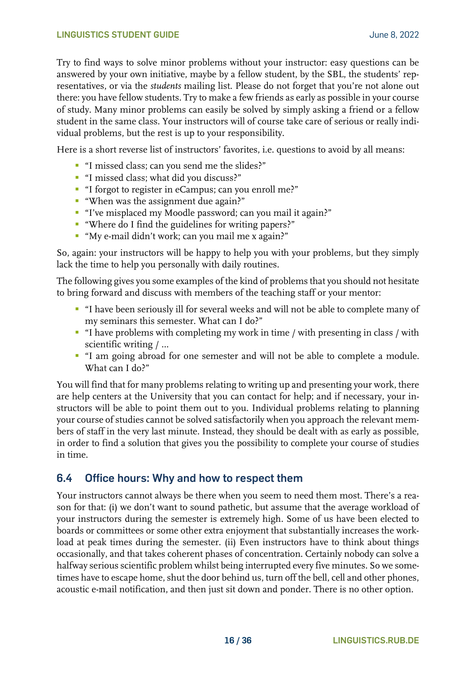Try to find ways to solve minor problems without your instructor: easy questions can be answered by your own initiative, maybe by a fellow student, by the SBL, the students' representatives, or via the *students* mailing list. Please do not forget that you're not alone out there: you have fellow students. Try to make a few friends as early as possible in your course of study. Many minor problems can easily be solved by simply asking a friend or a fellow student in the same class. Your instructors will of course take care of serious or really individual problems, but the rest is up to your responsibility.

Here is a short reverse list of instructors' favorites, i.e. questions to avoid by all means:

- "I missed class; can you send me the slides?"
- "I missed class; what did you discuss?"
- "I forgot to register in eCampus; can you enroll me?"
- "When was the assignment due again?"
- "I've misplaced my Moodle password; can you mail it again?"
- "Where do I find the guidelines for writing papers?"
- "My e-mail didn't work; can you mail me x again?"

So, again: your instructors will be happy to help you with your problems, but they simply lack the time to help you personally with daily routines.

The following gives you some examples of the kind of problems that you should not hesitate to bring forward and discuss with members of the teaching staff or your mentor:

- "I have been seriously ill for several weeks and will not be able to complete many of my seminars this semester. What can I do?"
- "I have problems with completing my work in time / with presenting in class / with scientific writing / …
- "I am going abroad for one semester and will not be able to complete a module. What can I do?"

You will find that for many problems relating to writing up and presenting your work, there are help centers at the University that you can contact for help; and if necessary, your instructors will be able to point them out to you. Individual problems relating to planning your course of studies cannot be solved satisfactorily when you approach the relevant members of staff in the very last minute. Instead, they should be dealt with as early as possible, in order to find a solution that gives you the possibility to complete your course of studies in time.

#### <span id="page-15-0"></span>**6.4 Office hours: Why and how to respect them**

Your instructors cannot always be there when you seem to need them most. There's a reason for that: (i) we don't want to sound pathetic, but assume that the average workload of your instructors during the semester is extremely high. Some of us have been elected to boards or committees or some other extra enjoyment that substantially increases the workload at peak times during the semester. (ii) Even instructors have to think about things occasionally, and that takes coherent phases of concentration. Certainly nobody can solve a halfway serious scientific problem whilst being interrupted every five minutes. So we sometimes have to escape home, shut the door behind us, turn off the bell, cell and other phones, acoustic e-mail notification, and then just sit down and ponder. There is no other option.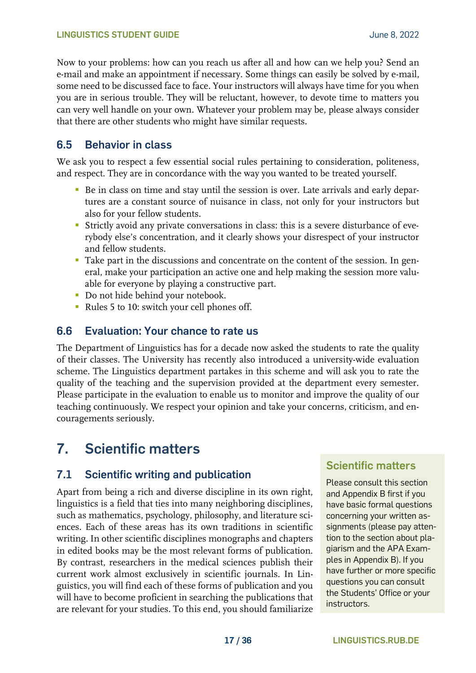Now to your problems: how can you reach us after all and how can we help you? Send an e-mail and make an appointment if necessary. Some things can easily be solved by e-mail, some need to be discussed face to face. Your instructors will always have time for you when you are in serious trouble. They will be reluctant, however, to devote time to matters you can very well handle on your own. Whatever your problem may be, please always consider that there are other students who might have similar requests.

### <span id="page-16-0"></span>**6.5 Behavior in class**

We ask you to respect a few essential social rules pertaining to consideration, politeness, and respect. They are in concordance with the way you wanted to be treated yourself.

- Be in class on time and stay until the session is over. Late arrivals and early departures are a constant source of nuisance in class, not only for your instructors but also for your fellow students.
- Strictly avoid any private conversations in class: this is a severe disturbance of everybody else's concentration, and it clearly shows your disrespect of your instructor and fellow students.
- **Take part in the discussions and concentrate on the content of the session. In gen**eral, make your participation an active one and help making the session more valuable for everyone by playing a constructive part.
- **•** Do not hide behind your notebook.
- Rules 5 to 10: switch your cell phones off.

### <span id="page-16-1"></span>**6.6 Evaluation: Your chance to rate us**

The Department of Linguistics has for a decade now asked the students to rate the quality of their classes. The University has recently also introduced a university-wide evaluation scheme. The Linguistics department partakes in this scheme and will ask you to rate the quality of the teaching and the supervision provided at the department every semester. Please participate in the evaluation to enable us to monitor and improve the quality of our teaching continuously. We respect your opinion and take your concerns, criticism, and encouragements seriously.

## <span id="page-16-2"></span>**7. Scientific matters**

## <span id="page-16-3"></span>**7.1 Scientific writing and publication**

Apart from being a rich and diverse discipline in its own right, linguistics is a field that ties into many neighboring disciplines, such as mathematics, psychology, philosophy, and literature sciences. Each of these areas has its own traditions in scientific writing. In other scientific disciplines monographs and chapters in edited books may be the most relevant forms of publication. By contrast, researchers in the medical sciences publish their current work almost exclusively in scientific journals. In Linguistics, you will find each of these forms of publication and you will have to become proficient in searching the publications that are relevant for your studies. To this end, you should familiarize

## **Scientific matters**

Please consult this section and Appendix B first if you have basic formal questions concerning your written assignments (please pay attention to the section about plagiarism and the APA Examples in Appendix B). If you have further or more specific questions you can consult the Students' Office or your instructors.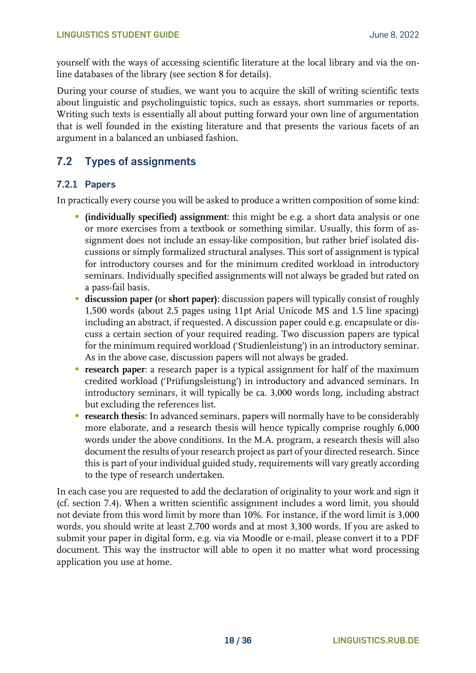yourself with the ways of accessing scientific literature at the local library and via the online databases of the library (see section 8 for details).

During your course of studies, we want you to acquire the skill of writing scientific texts about linguistic and psycholinguistic topics, such as essays, short summaries or reports. Writing such texts is essentially all about putting forward your own line of argumentation that is well founded in the existing literature and that presents the various facets of an argument in a balanced an unbiased fashion.

## <span id="page-17-0"></span>**7.2 Types of assignments**

#### <span id="page-17-1"></span>**7.2.1 Papers**

In practically every course you will be asked to produce a written composition of some kind:

- **(individually specified) assignment**: this might be e.g. a short data analysis or one or more exercises from a textbook or something similar. Usually, this form of assignment does not include an essay-like composition, but rather brief isolated discussions or simply formalized structural analyses. This sort of assignment is typical for introductory courses and for the minimum credited workload in introductory seminars. Individually specified assignments will not always be graded but rated on a pass-fail basis.
- **discussion paper (**or **short paper)**: discussion papers will typically consist of roughly 1,500 words (about 2,5 pages using 11pt Arial Unicode MS and 1.5 line spacing) including an abstract, if requested. A discussion paper could e.g. encapsulate or discuss a certain section of your required reading. Two discussion papers are typical for the minimum required workload ('Studienleistung') in an introductory seminar. As in the above case, discussion papers will not always be graded.
- **research paper**: a research paper is a typical assignment for half of the maximum credited workload ('Prüfungsleistung') in introductory and advanced seminars. In introductory seminars, it will typically be ca. 3,000 words long, including abstract but excluding the references list.
- **Exerch thesis:** In advanced seminars, papers will normally have to be considerably more elaborate, and a research thesis will hence typically comprise roughly 6,000 words under the above conditions. In the M.A. program, a research thesis will also document the results of your research project as part of your directed research. Since this is part of your individual guided study, requirements will vary greatly according to the type of research undertaken.

In each case you are requested to add the declaration of originality to your work and sign it (cf. section 7.4). When a written scientific assignment includes a word limit, you should not deviate from this word limit by more than 10%. For instance, if the word limit is 3,000 words, you should write at least 2,700 words and at most 3,300 words. If you are asked to submit your paper in digital form, e.g. via via Moodle or e-mail, please convert it to a PDF document. This way the instructor will able to open it no matter what word processing application you use at home.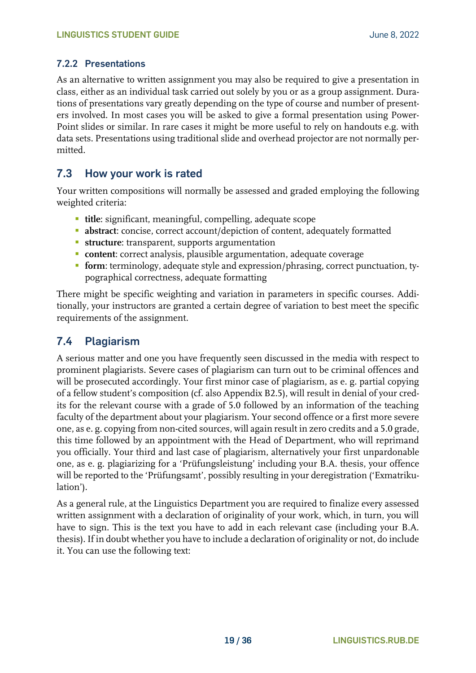#### <span id="page-18-0"></span>**7.2.2 Presentations**

As an alternative to written assignment you may also be required to give a presentation in class, either as an individual task carried out solely by you or as a group assignment. Durations of presentations vary greatly depending on the type of course and number of presenters involved. In most cases you will be asked to give a formal presentation using Power-Point slides or similar. In rare cases it might be more useful to rely on handouts e.g. with data sets. Presentations using traditional slide and overhead projector are not normally permitted.

#### <span id="page-18-1"></span>**7.3 How your work is rated**

Your written compositions will normally be assessed and graded employing the following weighted criteria:

- **title**: significant, meaningful, compelling, adequate scope
- **abstract**: concise, correct account/depiction of content, adequately formatted
- **EXECUTE:** transparent, supports argumentation
- **content**: correct analysis, plausible argumentation, adequate coverage
- **form**: terminology, adequate style and expression/phrasing, correct punctuation, typographical correctness, adequate formatting

There might be specific weighting and variation in parameters in specific courses. Additionally, your instructors are granted a certain degree of variation to best meet the specific requirements of the assignment.

### <span id="page-18-2"></span>**7.4 Plagiarism**

A serious matter and one you have frequently seen discussed in the media with respect to prominent plagiarists. Severe cases of plagiarism can turn out to be criminal offences and will be prosecuted accordingly. Your first minor case of plagiarism, as e. g. partial copying of a fellow student's composition (cf. also Appendix B2.5), will result in denial of your credits for the relevant course with a grade of 5.0 followed by an information of the teaching faculty of the department about your plagiarism. Your second offence or a first more severe one, as e. g. copying from non-cited sources, will again result in zero credits and a 5.0 grade, this time followed by an appointment with the Head of Department, who will reprimand you officially. Your third and last case of plagiarism, alternatively your first unpardonable one, as e. g. plagiarizing for a 'Prüfungsleistung' including your B.A. thesis, your offence will be reported to the 'Prüfungsamt', possibly resulting in your deregistration ('Exmatrikulation').

As a general rule, at the Linguistics Department you are required to finalize every assessed written assignment with a declaration of originality of your work, which, in turn, you will have to sign. This is the text you have to add in each relevant case (including your B.A. thesis). If in doubt whether you have to include a declaration of originality or not, do include it. You can use the following text: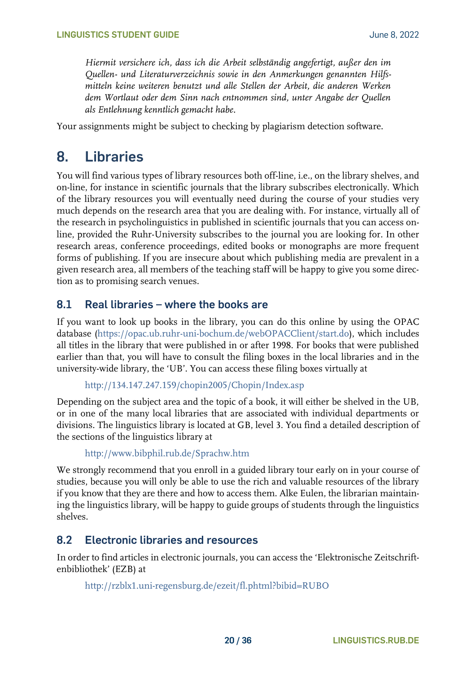*Hiermit versichere ich, dass ich die Arbeit selbständig angefertigt, außer den im Quellen- und Literaturverzeichnis sowie in den Anmerkungen genannten Hilfsmitteln keine weiteren benutzt und alle Stellen der Arbeit, die anderen Werken dem Wortlaut oder dem Sinn nach entnommen sind, unter Angabe der Quellen als Entlehnung kenntlich gemacht habe.*

<span id="page-19-0"></span>Your assignments might be subject to checking by plagiarism detection software.

## **8. Libraries**

You will find various types of library resources both off-line, i.e., on the library shelves, and on-line, for instance in scientific journals that the library subscribes electronically. Which of the library resources you will eventually need during the course of your studies very much depends on the research area that you are dealing with. For instance, virtually all of the research in psycholinguistics in published in scientific journals that you can access online, provided the Ruhr-University subscribes to the journal you are looking for. In other research areas, conference proceedings, edited books or monographs are more frequent forms of publishing. If you are insecure about which publishing media are prevalent in a given research area, all members of the teaching staff will be happy to give you some direction as to promising search venues.

### <span id="page-19-1"></span>**8.1 Real libraries – where the books are**

If you want to look up books in the library, you can do this online by using the OPAC database [\(https://opac.ub.ruhr-uni-bochum.de/webOPACClient/start.do\)](https://opac.ub.ruhr-uni-bochum.de/webOPACClient/start.do), which includes all titles in the library that were published in or after 1998. For books that were published earlier than that, you will have to consult the filing boxes in the local libraries and in the university-wide library, the 'UB'. You can access these filing boxes virtually at

```
http://134.147.247.159/chopin2005/Chopin/Index.asp
```
Depending on the subject area and the topic of a book, it will either be shelved in the UB, or in one of the many local libraries that are associated with individual departments or divisions. The linguistics library is located at GB, level 3. You find a detailed description of the sections of the linguistics library at

<http://www.bibphil.rub.de/Sprachw.htm>

We strongly recommend that you enroll in a guided library tour early on in your course of studies, because you will only be able to use the rich and valuable resources of the library if you know that they are there and how to access them. Alke Eulen, the librarian maintaining the linguistics library, will be happy to guide groups of students through the linguistics shelves.

#### <span id="page-19-2"></span>**8.2 Electronic libraries and resources**

In order to find articles in electronic journals, you can access the 'Elektronische Zeitschriftenbibliothek' (EZB) at

<http://rzblx1.uni-regensburg.de/ezeit/fl.phtml?bibid=RUBO>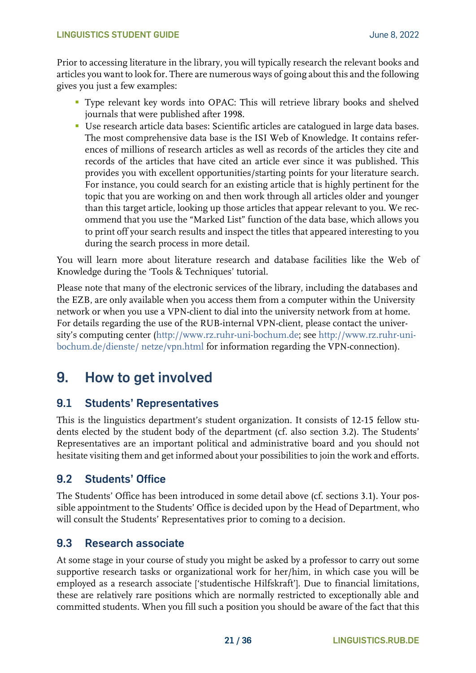#### **LINGUISTICS STUDENT GUIDE CONSERVERSITY CONSERVANCE IN A SERVICE OF A SERVICE OF A SERVICE OF A SERVICE OF A SERVICE OF A SERVICE OF A SERVICE OF A SERVICE OF A SERVICE OF A SERVICE OF A SERVICE OF A SERVICE OF A SERVIC**

Prior to accessing literature in the library, you will typically research the relevant books and articles you want to look for. There are numerous ways of going about this and the following gives you just a few examples:

- Type relevant key words into OPAC: This will retrieve library books and shelved journals that were published after 1998.
- Use research article data bases: Scientific articles are catalogued in large data bases. The most comprehensive data base is the ISI Web of Knowledge. It contains references of millions of research articles as well as records of the articles they cite and records of the articles that have cited an article ever since it was published. This provides you with excellent opportunities/starting points for your literature search. For instance, you could search for an existing article that is highly pertinent for the topic that you are working on and then work through all articles older and younger than this target article, looking up those articles that appear relevant to you. We recommend that you use the "Marked List" function of the data base, which allows you to print off your search results and inspect the titles that appeared interesting to you during the search process in more detail.

You will learn more about literature research and database facilities like the Web of Knowledge during the 'Tools & Techniques' tutorial.

Please note that many of the electronic services of the library, including the databases and the EZB, are only available when you access them from a computer within the University network or when you use a VPN-client to dial into the university network from at home. For details regarding the use of the RUB-internal VPN-client, please contact the university's computing center ([http://www.rz.ruhr-uni-bochum.de;](http://www.rz.ruhr-uni-bochum.de/) see [http://www.rz.ruhr-uni](http://www.rz.ruhr-uni-bochum.de/dienste/netze/vpn.html)[bochum.de/dienste/ netze/vpn.html](http://www.rz.ruhr-uni-bochum.de/dienste/netze/vpn.html) for information regarding the VPN-connection).

## <span id="page-20-0"></span>**9. How to get involved**

## <span id="page-20-1"></span>**9.1 Students' Representatives**

This is the linguistics department's student organization. It consists of 12-15 fellow students elected by the student body of the department (cf. also section 3.2). The Students' Representatives are an important political and administrative board and you should not hesitate visiting them and get informed about your possibilities to join the work and efforts.

#### <span id="page-20-2"></span>**9.2 Students' Office**

The Students' Office has been introduced in some detail above (cf. sections 3.1). Your possible appointment to the Students' Office is decided upon by the Head of Department, who will consult the Students' Representatives prior to coming to a decision.

#### <span id="page-20-3"></span>**9.3 Research associate**

At some stage in your course of study you might be asked by a professor to carry out some supportive research tasks or organizational work for her/him, in which case you will be employed as a research associate ['studentische Hilfskraft']. Due to financial limitations, these are relatively rare positions which are normally restricted to exceptionally able and committed students. When you fill such a position you should be aware of the fact that this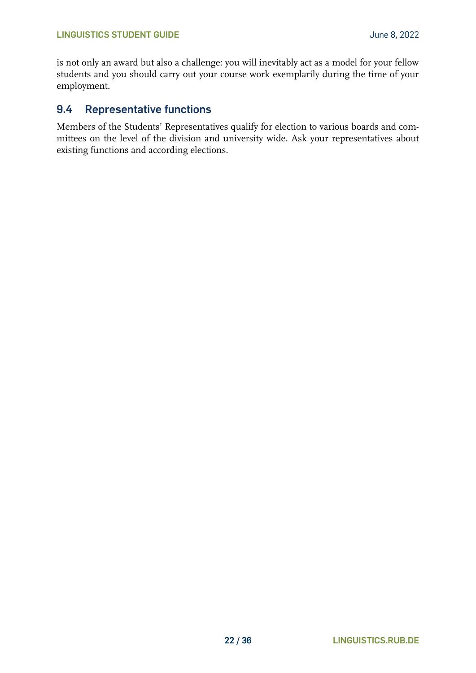is not only an award but also a challenge: you will inevitably act as a model for your fellow students and you should carry out your course work exemplarily during the time of your employment.

#### <span id="page-21-0"></span>**9.4 Representative functions**

Members of the Students' Representatives qualify for election to various boards and committees on the level of the division and university wide. Ask your representatives about existing functions and according elections.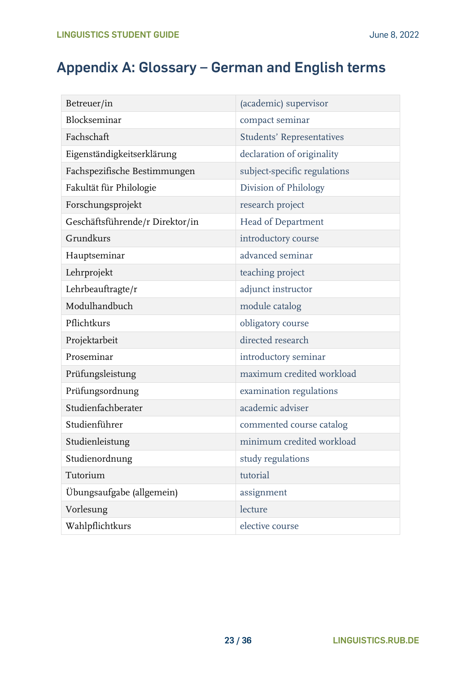## <span id="page-22-0"></span>**Appendix A: Glossary – German and English terms**

| Betreuer/in                     | (academic) supervisor            |  |
|---------------------------------|----------------------------------|--|
| Blockseminar                    | compact seminar                  |  |
| Fachschaft                      | <b>Students' Representatives</b> |  |
| Eigenständigkeitserklärung      | declaration of originality       |  |
| Fachspezifische Bestimmungen    | subject-specific regulations     |  |
| Fakultät für Philologie         | Division of Philology            |  |
| Forschungsprojekt               | research project                 |  |
| Geschäftsführende/r Direktor/in | <b>Head of Department</b>        |  |
| Grundkurs                       | introductory course              |  |
| Hauptseminar                    | advanced seminar                 |  |
| Lehrprojekt                     | teaching project                 |  |
| Lehrbeauftragte/r               | adjunct instructor               |  |
| Modulhandbuch                   | module catalog                   |  |
| Pflichtkurs                     | obligatory course                |  |
| Projektarbeit                   | directed research                |  |
| Proseminar                      | introductory seminar             |  |
| Prüfungsleistung                | maximum credited workload        |  |
| Prüfungsordnung                 | examination regulations          |  |
| Studienfachberater              | academic adviser                 |  |
| Studienführer                   | commented course catalog         |  |
| Studienleistung                 | minimum credited workload        |  |
| Studienordnung                  | study regulations                |  |
| Tutorium                        | tutorial                         |  |
| Übungsaufgabe (allgemein)       | assignment                       |  |
| Vorlesung                       | lecture                          |  |
| Wahlpflichtkurs                 | elective course                  |  |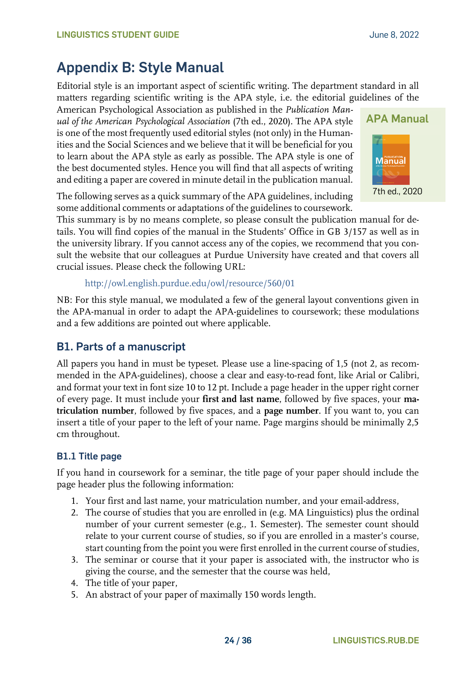## <span id="page-23-0"></span>**Appendix B: Style Manual**

Editorial style is an important aspect of scientific writing. The department standard in all matters regarding scientific writing is the APA style, i.e. the editorial guidelines of the

American Psychological Association as published in the *Publication Manual of the American Psychological Association* (7th ed., 2020). The APA style is one of the most frequently used editorial styles (not only) in the Humanities and the Social Sciences and we believe that it will be beneficial for you to learn about the APA style as early as possible. The APA style is one of the best documented styles. Hence you will find that all aspects of writing and editing a paper are covered in minute detail in the publication manual.



The following serves as a quick summary of the APA guidelines, including some additional comments or adaptations of the guidelines to coursework.

This summary is by no means complete, so please consult the publication manual for details. You will find copies of the manual in the Students' Office in GB 3/157 as well as in the university library. If you cannot access any of the copies, we recommend that you consult the website that our colleagues at Purdue University have created and that covers all crucial issues. Please check the following URL:

```
http://owl.english.purdue.edu/owl/resource/560/01
```
NB: For this style manual, we modulated a few of the general layout conventions given in the APA-manual in order to adapt the APA-guidelines to coursework; these modulations and a few additions are pointed out where applicable.

## <span id="page-23-1"></span>**B1. Parts of a manuscript**

All papers you hand in must be typeset. Please use a line-spacing of 1,5 (not 2, as recommended in the APA-guidelines), choose a clear and easy-to-read font, like Arial or Calibri, and format your text in font size 10 to 12 pt. Include a page header in the upper right corner of every page. It must include your **first and last name**, followed by five spaces, your **matriculation number**, followed by five spaces, and a **page number**. If you want to, you can insert a title of your paper to the left of your name. Page margins should be minimally 2,5 cm throughout.

#### <span id="page-23-2"></span>**B1.1 Title page**

If you hand in coursework for a seminar, the title page of your paper should include the page header plus the following information:

- 1. Your first and last name, your matriculation number, and your email-address,
- 2. The course of studies that you are enrolled in (e.g. MA Linguistics) plus the ordinal number of your current semester (e.g., 1. Semester). The semester count should relate to your current course of studies, so if you are enrolled in a master's course, start counting from the point you were first enrolled in the current course of studies,
- 3. The seminar or course that it your paper is associated with, the instructor who is giving the course, and the semester that the course was held,
- 4. The title of your paper,
- 5. An abstract of your paper of maximally 150 words length.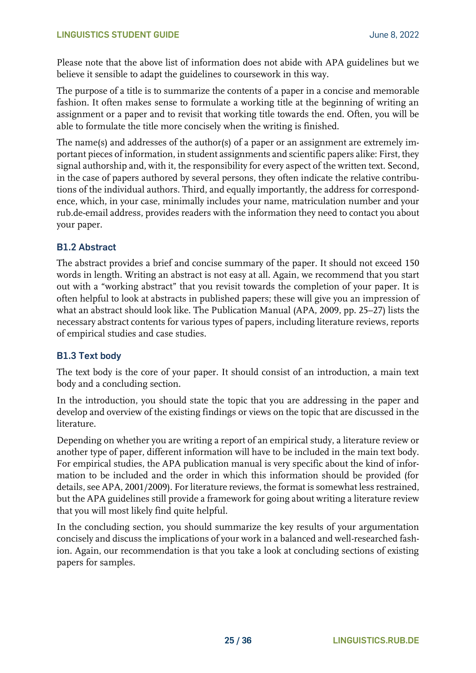Please note that the above list of information does not abide with APA guidelines but we believe it sensible to adapt the guidelines to coursework in this way.

The purpose of a title is to summarize the contents of a paper in a concise and memorable fashion. It often makes sense to formulate a working title at the beginning of writing an assignment or a paper and to revisit that working title towards the end. Often, you will be able to formulate the title more concisely when the writing is finished.

The name(s) and addresses of the author(s) of a paper or an assignment are extremely important pieces of information, in student assignments and scientific papers alike: First, they signal authorship and, with it, the responsibility for every aspect of the written text. Second, in the case of papers authored by several persons, they often indicate the relative contributions of the individual authors. Third, and equally importantly, the address for correspondence, which, in your case, minimally includes your name, matriculation number and your rub.de-email address, provides readers with the information they need to contact you about your paper.

#### <span id="page-24-0"></span>**B1.2 Abstract**

The abstract provides a brief and concise summary of the paper. It should not exceed 150 words in length. Writing an abstract is not easy at all. Again, we recommend that you start out with a "working abstract" that you revisit towards the completion of your paper. It is often helpful to look at abstracts in published papers; these will give you an impression of what an abstract should look like. The Publication Manual (APA, 2009, pp. 25–27) lists the necessary abstract contents for various types of papers, including literature reviews, reports of empirical studies and case studies.

#### <span id="page-24-1"></span>**B1.3 Text body**

The text body is the core of your paper. It should consist of an introduction, a main text body and a concluding section.

In the introduction, you should state the topic that you are addressing in the paper and develop and overview of the existing findings or views on the topic that are discussed in the literature.

Depending on whether you are writing a report of an empirical study, a literature review or another type of paper, different information will have to be included in the main text body. For empirical studies, the APA publication manual is very specific about the kind of information to be included and the order in which this information should be provided (for details, see APA, 2001/2009). For literature reviews, the format is somewhat less restrained, but the APA guidelines still provide a framework for going about writing a literature review that you will most likely find quite helpful.

In the concluding section, you should summarize the key results of your argumentation concisely and discuss the implications of your work in a balanced and well-researched fashion. Again, our recommendation is that you take a look at concluding sections of existing papers for samples.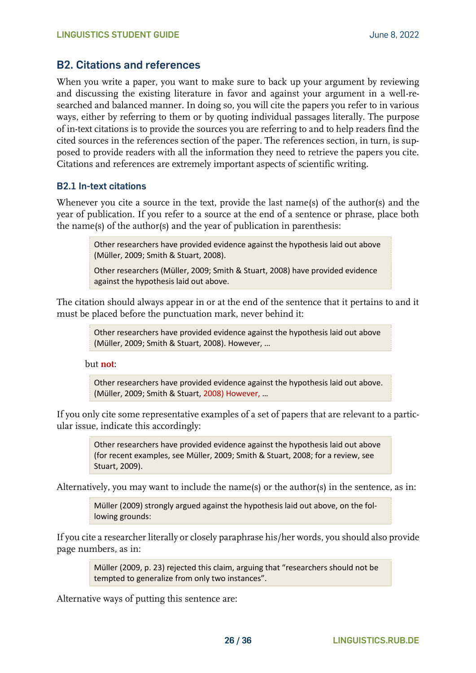#### <span id="page-25-0"></span>**B2. Citations and references**

When you write a paper, you want to make sure to back up your argument by reviewing and discussing the existing literature in favor and against your argument in a well-researched and balanced manner. In doing so, you will cite the papers you refer to in various ways, either by referring to them or by quoting individual passages literally. The purpose of in-text citations is to provide the sources you are referring to and to help readers find the cited sources in the references section of the paper. The references section, in turn, is supposed to provide readers with all the information they need to retrieve the papers you cite. Citations and references are extremely important aspects of scientific writing.

#### <span id="page-25-1"></span>**B2.1 In-text citations**

Whenever you cite a source in the text, provide the last name(s) of the author(s) and the year of publication. If you refer to a source at the end of a sentence or phrase, place both the name(s) of the author(s) and the year of publication in parenthesis:

> Other researchers have provided evidence against the hypothesis laid out above (Müller, 2009; Smith & Stuart, 2008).

> Other researchers (Müller, 2009; Smith & Stuart, 2008) have provided evidence against the hypothesis laid out above.

The citation should always appear in or at the end of the sentence that it pertains to and it must be placed before the punctuation mark, never behind it:

> Other researchers have provided evidence against the hypothesis laid out above (Müller, 2009; Smith & Stuart, 2008). However, …

but **not**:

Other researchers have provided evidence against the hypothesis laid out above. (Müller, 2009; Smith & Stuart, 2008) However, …

If you only cite some representative examples of a set of papers that are relevant to a particular issue, indicate this accordingly:

> Other researchers have provided evidence against the hypothesis laid out above (for recent examples, see Müller, 2009; Smith & Stuart, 2008; for a review, see Stuart, 2009).

Alternatively, you may want to include the name(s) or the author(s) in the sentence, as in:

Müller (2009) strongly argued against the hypothesis laid out above, on the following grounds:

If you cite a researcher literally or closely paraphrase his/her words, you should also provide page numbers, as in:

> Müller (2009, p. 23) rejected this claim, arguing that "researchers should not be tempted to generalize from only two instances".

Alternative ways of putting this sentence are: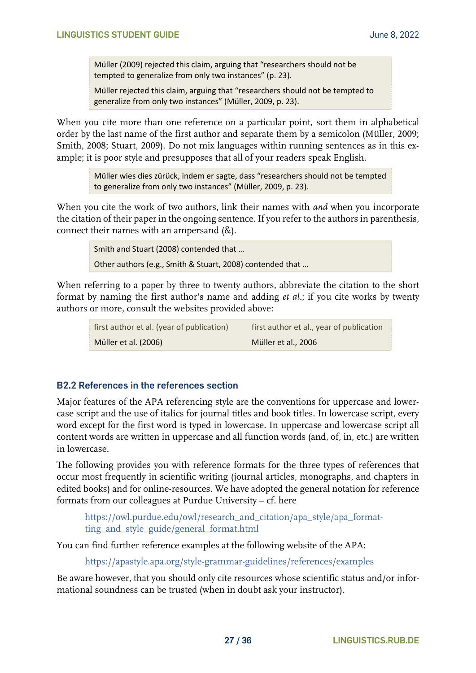Müller (2009) rejected this claim, arguing that "researchers should not be tempted to generalize from only two instances" (p. 23).

Müller rejected this claim, arguing that "researchers should not be tempted to generalize from only two instances" (Müller, 2009, p. 23).

When you cite more than one reference on a particular point, sort them in alphabetical order by the last name of the first author and separate them by a semicolon (Müller, 2009; Smith, 2008; Stuart, 2009). Do not mix languages within running sentences as in this example; it is poor style and presupposes that all of your readers speak English.

> Müller wies dies zürück, indem er sagte, dass "researchers should not be tempted to generalize from only two instances" (Müller, 2009, p. 23).

When you cite the work of two authors, link their names with *and* when you incorporate the citation of their paper in the ongoing sentence. If you refer to the authors in parenthesis, connect their names with an ampersand (&).

> Smith and Stuart (2008) contended that … Other authors (e.g., Smith & Stuart, 2008) contended that …

When referring to a paper by three to twenty authors, abbreviate the citation to the short format by naming the first author's name and adding *et al.*; if you cite works by twenty authors or more, consult the websites provided above:

| first author et al. (year of publication) | first author et al., year of publication |
|-------------------------------------------|------------------------------------------|
| Müller et al. (2006)                      | Müller et al., 2006                      |

#### <span id="page-26-0"></span>**B2.2 References in the references section**

Major features of the APA referencing style are the conventions for uppercase and lowercase script and the use of italics for journal titles and book titles. In lowercase script, every word except for the first word is typed in lowercase. In uppercase and lowercase script all content words are written in uppercase and all function words (and, of, in, etc.) are written in lowercase.

The following provides you with reference formats for the three types of references that occur most frequently in scientific writing (journal articles, monographs, and chapters in edited books) and for online-resources. We have adopted the general notation for reference formats from our colleagues at Purdue University – cf. here

[https://owl.purdue.edu/owl/research\\_and\\_citation/apa\\_style/apa\\_format](https://owl.purdue.edu/owl/research_and_citation/apa_style/apa_formatting_and_style_guide/general_format.html)[ting\\_and\\_style\\_guide/general\\_format.html](https://owl.purdue.edu/owl/research_and_citation/apa_style/apa_formatting_and_style_guide/general_format.html)

You can find further reference examples at the following website of the APA:

<https://apastyle.apa.org/style-grammar-guidelines/references/examples>

Be aware however, that you should only cite resources whose scientific status and/or informational soundness can be trusted (when in doubt ask your instructor).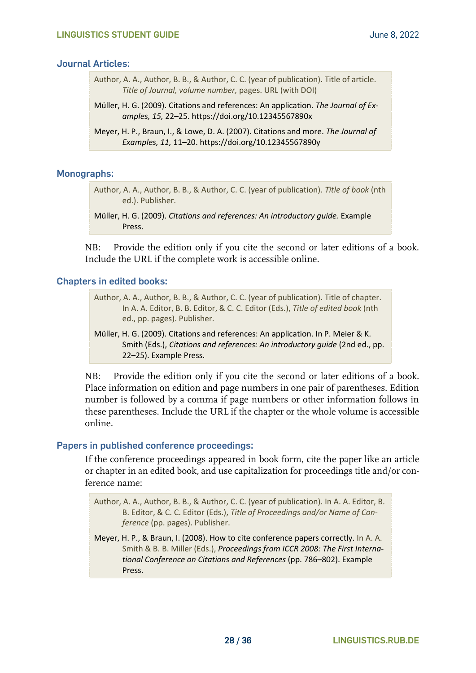#### **Journal Articles:**

- Author, A. A., Author, B. B., & Author, C. C. (year of publication). Title of article. *Title of Journal, volume number,* pages. URL (with DOI)
- Müller, H. G. (2009). Citations and references: An application. *The Journal of Examples, 15,* 22–25. https://doi.org/10.12345567890x
- Meyer, H. P., Braun, I., & Lowe, D. A. (2007). Citations and more. *The Journal of Examples, 11,* 11–20. https://doi.org/10.12345567890y

#### **Monographs:**

Author, A. A., Author, B. B., & Author, C. C. (year of publication). *Title of book* (nth ed.). Publisher.

NB: Provide the edition only if you cite the second or later editions of a book. Include the URL if the complete work is accessible online.

#### **Chapters in edited books:**

Author, A. A., Author, B. B., & Author, C. C. (year of publication). Title of chapter. In A. A. Editor, B. B. Editor, & C. C. Editor (Eds.), *Title of edited book* (nth ed., pp. pages). Publisher.

Müller, H. G. (2009). Citations and references: An application. In P. Meier & K. Smith (Eds.), *Citations and references: An introductory guide* (2nd ed., pp. 22–25). Example Press.

NB: Provide the edition only if you cite the second or later editions of a book. Place information on edition and page numbers in one pair of parentheses. Edition number is followed by a comma if page numbers or other information follows in these parentheses. Include the URL if the chapter or the whole volume is accessible online.

#### **Papers in published conference proceedings:**

If the conference proceedings appeared in book form, cite the paper like an article or chapter in an edited book, and use capitalization for proceedings title and/or conference name:

Author, A. A., Author, B. B., & Author, C. C. (year of publication). In A. A. Editor, B. B. Editor, & C. C. Editor (Eds.), *Title of Proceedings and/or Name of Conference* (pp. pages). Publisher.

Meyer, H. P., & Braun, I. (2008). How to cite conference papers correctly. In A. A. Smith & B. B. Miller (Eds.), *Proceedings from ICCR 2008: The First International Conference on Citations and References* (pp. 786–802). Example Press.

Müller, H. G. (2009). *Citations and references: An introductory guide.* Example Press.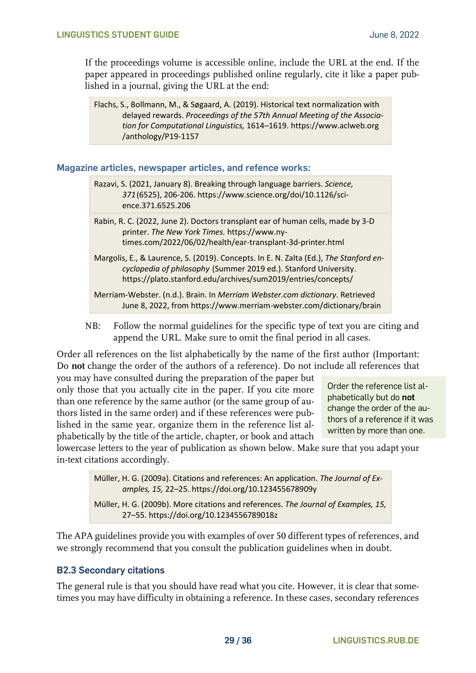If the proceedings volume is accessible online, include the URL at the end. If the paper appeared in proceedings published online regularly, cite it like a paper published in a journal, giving the URL at the end:

Flachs, S., Bollmann, M., & Søgaard, A. (2019). Historical text normalization with delayed rewards. *Proceedings of the 57th Annual Meeting of the Association for Computational Linguistics,* 1614–1619. https://www.aclweb.org /anthology/P19-1157

**Magazine articles, newspaper articles, and refence works:**

Razavi, S. (2021, January 8). Breaking through language barriers. *Science, 371*(6525), 206-206. https://www.science.org/doi/10.1126/science.371.6525.206

Rabin, R. C. (2022, June 2). Doctors transplant ear of human cells, made by 3-D printer. *The New York Times.* https://www.nytimes.com/2022/06/02/health/ear-transplant-3d-printer.html

Margolis, E., & Laurence, S. (2019). Concepts. In E. N. Zalta (Ed.), *The Stanford encyclopedia of philosophy* (Summer 2019 ed.). Stanford University. https://plato.stanford.edu/archives/sum2019/entries/concepts/

Merriam-Webster. (n.d.). Brain. In *Merriam Webster.com dictionary*. Retrieved June 8, 2022, from https://www.merriam-webster.com/dictionary/brain

NB: Follow the normal guidelines for the specific type of text you are citing and append the URL. Make sure to omit the final period in all cases.

Order all references on the list alphabetically by the name of the first author (Important: Do **not** change the order of the authors of a reference). Do not include all references that

you may have consulted during the preparation of the paper but only those that you actually cite in the paper. If you cite more than one reference by the same author (or the same group of authors listed in the same order) and if these references were published in the same year, organize them in the reference list alphabetically by the title of the article, chapter, or book and attach

Order the reference list alphabetically but do **not** change the order of the authors of a reference if it was written by more than one.

lowercase letters to the year of publication as shown below. Make sure that you adapt your in-text citations accordingly.

> Müller, H. G. (2009a). Citations and references: An application. *The Journal of Examples, 15,* 22–25. https://doi.org/10.123455678909y

> Müller, H. G. (2009b). More citations and references. *The Journal of Examples, 15,* 27–55. https://doi.org/10.1234556789018z

The APA guidelines provide you with examples of over 50 different types of references, and we strongly recommend that you consult the publication guidelines when in doubt.

#### <span id="page-28-0"></span>**B2.3 Secondary citations**

The general rule is that you should have read what you cite. However, it is clear that sometimes you may have difficulty in obtaining a reference. In these cases, secondary references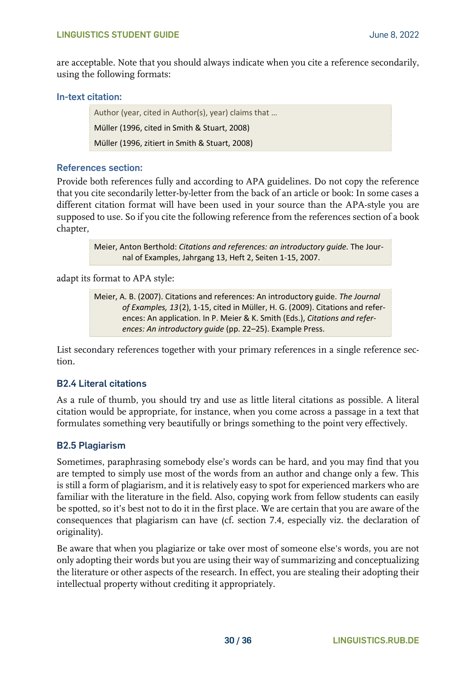are acceptable. Note that you should always indicate when you cite a reference secondarily, using the following formats:

#### **In-text citation:**

Author (year, cited in Author(s), year) claims that … Müller (1996, cited in Smith & Stuart, 2008) Müller (1996, zitiert in Smith & Stuart, 2008)

#### **References section:**

Provide both references fully and according to APA guidelines. Do not copy the reference that you cite secondarily letter-by-letter from the back of an article or book: In some cases a different citation format will have been used in your source than the APA-style you are supposed to use. So if you cite the following reference from the references section of a book chapter,

> Meier, Anton Berthold: *Citations and references: an introductory guide.* The Journal of Examples, Jahrgang 13, Heft 2, Seiten 1-15, 2007.

adapt its format to APA style:

Meier, A. B. (2007). Citations and references: An introductory guide. *The Journal of Examples, 13*(2), 1-15, cited in Müller, H. G. (2009). Citations and references: An application. In P. Meier & K. Smith (Eds.), *Citations and references: An introductory guide* (pp. 22–25). Example Press.

List secondary references together with your primary references in a single reference section.

#### <span id="page-29-0"></span>**B2.4 Literal citations**

As a rule of thumb, you should try and use as little literal citations as possible. A literal citation would be appropriate, for instance, when you come across a passage in a text that formulates something very beautifully or brings something to the point very effectively.

#### <span id="page-29-1"></span>**B2.5 Plagiarism**

Sometimes, paraphrasing somebody else's words can be hard, and you may find that you are tempted to simply use most of the words from an author and change only a few. This is still a form of plagiarism, and it is relatively easy to spot for experienced markers who are familiar with the literature in the field. Also, copying work from fellow students can easily be spotted, so it's best not to do it in the first place. We are certain that you are aware of the consequences that plagiarism can have (cf. section 7.4, especially viz. the declaration of originality).

Be aware that when you plagiarize or take over most of someone else's words, you are not only adopting their words but you are using their way of summarizing and conceptualizing the literature or other aspects of the research. In effect, you are stealing their adopting their intellectual property without crediting it appropriately.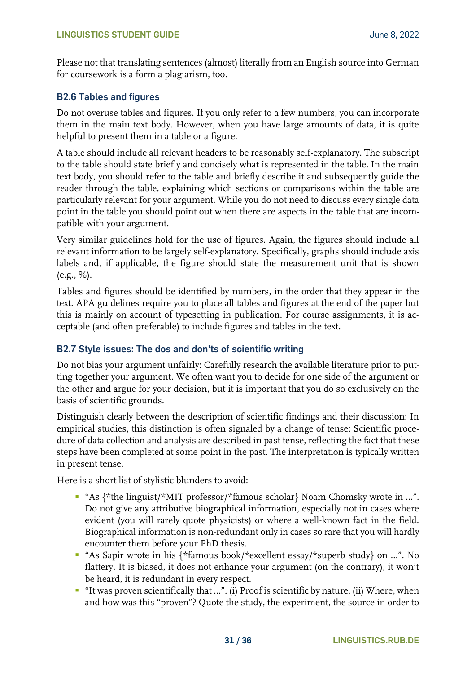Please not that translating sentences (almost) literally from an English source into German for coursework is a form a plagiarism, too.

#### <span id="page-30-0"></span>**B2.6 Tables and figures**

Do not overuse tables and figures. If you only refer to a few numbers, you can incorporate them in the main text body. However, when you have large amounts of data, it is quite helpful to present them in a table or a figure.

A table should include all relevant headers to be reasonably self-explanatory. The subscript to the table should state briefly and concisely what is represented in the table. In the main text body, you should refer to the table and briefly describe it and subsequently guide the reader through the table, explaining which sections or comparisons within the table are particularly relevant for your argument. While you do not need to discuss every single data point in the table you should point out when there are aspects in the table that are incompatible with your argument.

Very similar guidelines hold for the use of figures. Again, the figures should include all relevant information to be largely self-explanatory. Specifically, graphs should include axis labels and, if applicable, the figure should state the measurement unit that is shown (e.g., %).

Tables and figures should be identified by numbers, in the order that they appear in the text. APA guidelines require you to place all tables and figures at the end of the paper but this is mainly on account of typesetting in publication. For course assignments, it is acceptable (and often preferable) to include figures and tables in the text.

#### <span id="page-30-1"></span>**B2.7 Style issues: The dos and don'ts of scientific writing**

Do not bias your argument unfairly: Carefully research the available literature prior to putting together your argument. We often want you to decide for one side of the argument or the other and argue for your decision, but it is important that you do so exclusively on the basis of scientific grounds.

Distinguish clearly between the description of scientific findings and their discussion: In empirical studies, this distinction is often signaled by a change of tense: Scientific procedure of data collection and analysis are described in past tense, reflecting the fact that these steps have been completed at some point in the past. The interpretation is typically written in present tense.

Here is a short list of stylistic blunders to avoid:

- "As {\*the linguist/\*MIT professor/\*famous scholar} Noam Chomsky wrote in ...". Do not give any attributive biographical information, especially not in cases where evident (you will rarely quote physicists) or where a well-known fact in the field. Biographical information is non-redundant only in cases so rare that you will hardly encounter them before your PhD thesis.
- "As Sapir wrote in his {\*famous book/\*excellent essay/\*superb study} on …". No flattery. It is biased, it does not enhance your argument (on the contrary), it won't be heard, it is redundant in every respect.
- "It was proven scientifically that …". (i) Proof is scientific by nature. (ii) Where, when and how was this "proven"? Quote the study, the experiment, the source in order to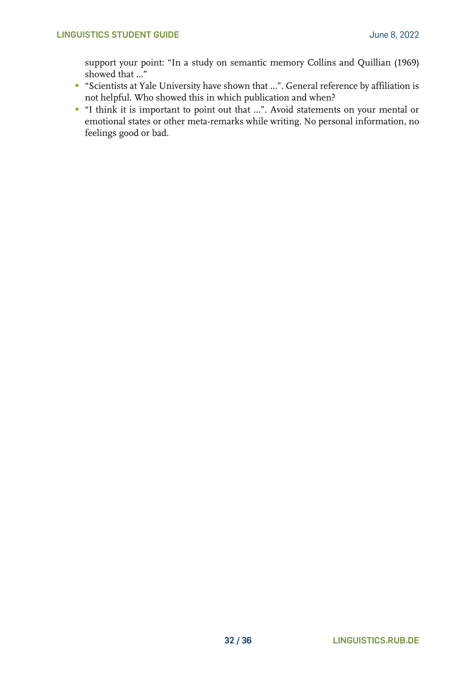support your point: "In a study on semantic memory Collins and Quillian (1969) showed that …"

- "Scientists at Yale University have shown that …". General reference by affiliation is not helpful. Who showed this in which publication and when?
- "I think it is important to point out that ...". Avoid statements on your mental or emotional states or other meta-remarks while writing. No personal information, no feelings good or bad.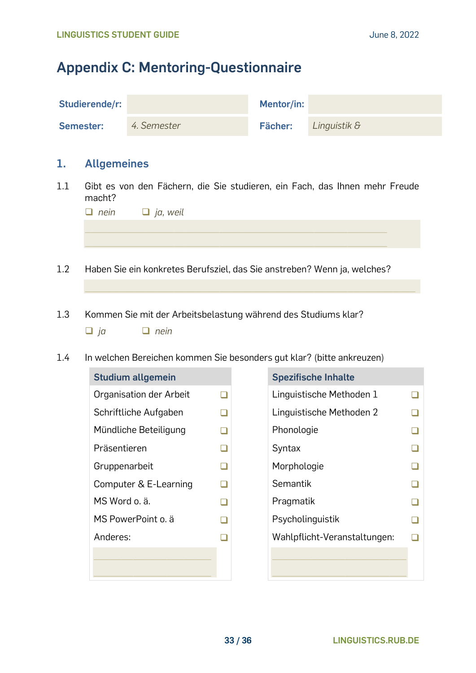## <span id="page-32-0"></span>**Appendix C: Mentoring-Questionnaire**

| Studierende/r: |             | Mentor/in: |              |
|----------------|-------------|------------|--------------|
| Semester:      | 4. Semester | Fächer:    | Linguistik & |

#### **1. Allgemeines**

1.1 Gibt es von den Fächern, die Sie studieren, ein Fach, das Ihnen mehr Freude macht?

| $\Box$ nein $\Box$ ja, weil |
|-----------------------------|
|                             |
|                             |
|                             |

 $\_$  , and the set of the set of the set of the set of the set of the set of the set of the set of the set of the set of the set of the set of the set of the set of the set of the set of the set of the set of the set of th

- 1.2 Haben Sie ein konkretes Berufsziel, das Sie anstreben? Wenn ja, welches?
- 1.3 Kommen Sie mit der Arbeitsbelastung während des Studiums klar? ❑ *ja* ❑ *nein*
- 1.4 In welchen Bereichen kommen Sie besonders gut klar? (bitte ankreuzen)

| <b>Studium allgemein</b> |        | <b>Spezifische Inhalte</b> |
|--------------------------|--------|----------------------------|
| Organisation der Arbeit  | $\Box$ | Linguistische Metho        |
| Schriftliche Aufgaben    |        | Linguistische Metho        |
| Mündliche Beteiligung    | □      | Phonologie                 |
| Präsentieren             | ⊐      | Syntax                     |
| Gruppenarbeit            |        | Morphologie                |
| Computer & E-Learning    | ⊐      | Semantik                   |
| MS Word o. ä.            | $\Box$ | Pragmatik                  |
| MS PowerPoint o. ä       | $\Box$ | Psycholinguistik           |
| Anderes:                 |        | Wahlpflicht-Veranst        |
|                          |        |                            |
|                          |        |                            |

| <b>Studium allgemein</b> |  | <b>Spezifische Inhalte</b>   |  |
|--------------------------|--|------------------------------|--|
| Organisation der Arbeit  |  | Linguistische Methoden 1     |  |
| Schriftliche Aufgaben    |  | Linguistische Methoden 2     |  |
| Mündliche Beteiligung    |  | Phonologie                   |  |
| Präsentieren             |  | Syntax                       |  |
| Gruppenarbeit            |  | Morphologie                  |  |
| Computer & E-Learning    |  | Semantik                     |  |
| MS Word o. ä.            |  | Pragmatik                    |  |
| MS PowerPoint o. ä       |  | Psycholinguistik             |  |
| Anderes:                 |  | Wahlpflicht-Veranstaltungen: |  |
|                          |  |                              |  |
|                          |  |                              |  |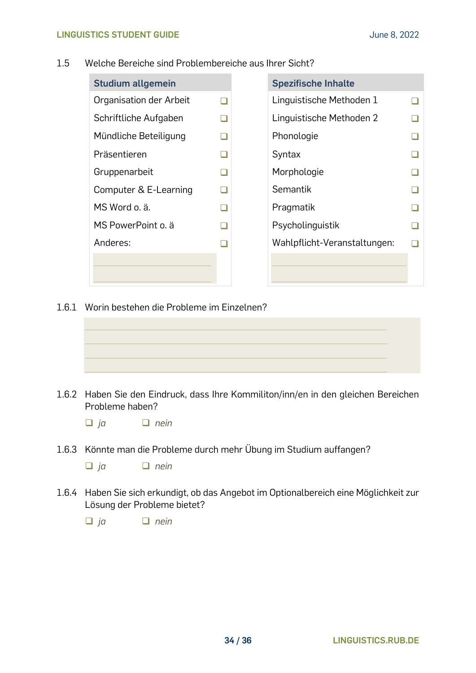#### 1.5 Welche Bereiche sind Problembereiche aus Ihrer Sicht?

| <b>Studium allgemein</b> |  | <b>Spezifische Inhalte</b>   |  |
|--------------------------|--|------------------------------|--|
| Organisation der Arbeit  |  | Linguistische Methoden 1     |  |
| Schriftliche Aufgaben    |  | Linguistische Methoden 2     |  |
| Mündliche Beteiligung    |  | Phonologie                   |  |
| Präsentieren             |  | Syntax                       |  |
| Gruppenarbeit            |  | Morphologie                  |  |
| Computer & E-Learning    |  | Semantik                     |  |
| MS Word o. ä.            |  | Pragmatik                    |  |
| MS PowerPoint o. ä       |  | Psycholinguistik             |  |
| Anderes:                 |  | Wahlpflicht-Veranstaltungen: |  |
|                          |  |                              |  |
|                          |  |                              |  |

1.6.1 Worin bestehen die Probleme im Einzelnen?



1.6.2 Haben Sie den Eindruck, dass Ihre Kommiliton/inn/en in den gleichen Bereichen Probleme haben?

❑ *ja* ❑ *nein*

1.6.3 Könnte man die Probleme durch mehr Übung im Studium auffangen?

❑ *ja* ❑ *nein*

1.6.4 Haben Sie sich erkundigt, ob das Angebot im Optionalbereich eine Möglichkeit zur Lösung der Probleme bietet?

❑ *ja* ❑ *nein*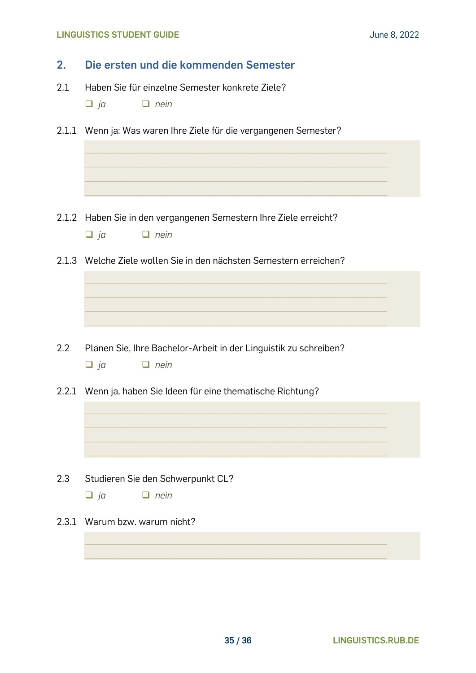#### **LINGUISTICS STUDENT GUIDE June 8, 2022**

| 2.    | Die ersten und die kommenden Semester                                                         |  |  |  |  |  |  |
|-------|-----------------------------------------------------------------------------------------------|--|--|--|--|--|--|
| 2.1   | Haben Sie für einzelne Semester konkrete Ziele?<br>$\Box$ ja<br>$\Box$ nein                   |  |  |  |  |  |  |
|       | 2.1.1 Wenn ja: Was waren Ihre Ziele für die vergangenen Semester?                             |  |  |  |  |  |  |
|       |                                                                                               |  |  |  |  |  |  |
|       |                                                                                               |  |  |  |  |  |  |
|       | 2.1.2 Haben Sie in den vergangenen Semestern Ihre Ziele erreicht?<br>$\Box$ ja<br>$\Box$ nein |  |  |  |  |  |  |
|       | 2.1.3 Welche Ziele wollen Sie in den nächsten Semestern erreichen?                            |  |  |  |  |  |  |
|       |                                                                                               |  |  |  |  |  |  |
|       |                                                                                               |  |  |  |  |  |  |
| 2.2   | Planen Sie, Ihre Bachelor-Arbeit in der Linguistik zu schreiben?<br>$\Box$ nein<br>$\Box$ ja  |  |  |  |  |  |  |
|       | 2.2.1 Wenn ja, haben Sie Ideen für eine thematische Richtung?                                 |  |  |  |  |  |  |
|       |                                                                                               |  |  |  |  |  |  |
|       |                                                                                               |  |  |  |  |  |  |
| 2.3   | Studieren Sie den Schwerpunkt CL?                                                             |  |  |  |  |  |  |
|       | $\Box$ ja<br>$\Box$ nein                                                                      |  |  |  |  |  |  |
| 2.3.1 | Warum bzw. warum nicht?                                                                       |  |  |  |  |  |  |
|       |                                                                                               |  |  |  |  |  |  |